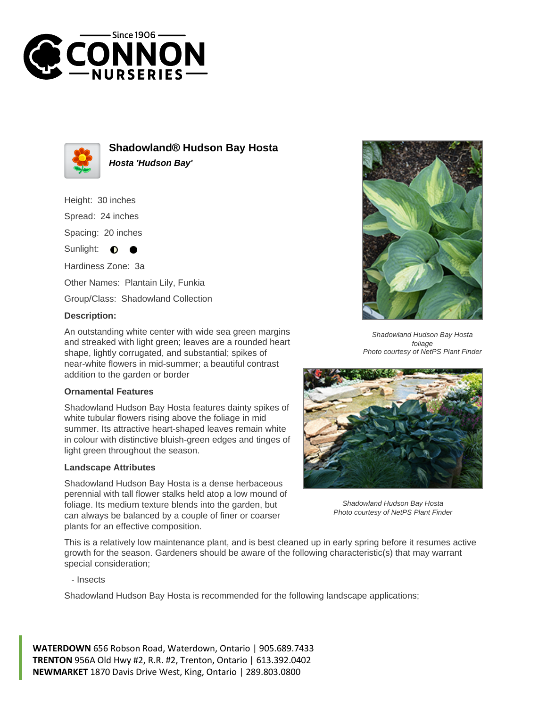



**Shadowland® Hudson Bay Hosta Hosta 'Hudson Bay'**

Height: 30 inches Spread: 24 inches Spacing: 20 inches Sunlight: **O** Hardiness Zone: 3a Other Names: Plantain Lily, Funkia Group/Class: Shadowland Collection

## **Description:**

An outstanding white center with wide sea green margins and streaked with light green; leaves are a rounded heart shape, lightly corrugated, and substantial; spikes of near-white flowers in mid-summer; a beautiful contrast addition to the garden or border

## **Ornamental Features**

Shadowland Hudson Bay Hosta features dainty spikes of white tubular flowers rising above the foliage in mid summer. Its attractive heart-shaped leaves remain white in colour with distinctive bluish-green edges and tinges of light green throughout the season.

## **Landscape Attributes**

Shadowland Hudson Bay Hosta is a dense herbaceous perennial with tall flower stalks held atop a low mound of foliage. Its medium texture blends into the garden, but can always be balanced by a couple of finer or coarser plants for an effective composition.



Shadowland Hudson Bay Hosta foliage Photo courtesy of NetPS Plant Finder



Shadowland Hudson Bay Hosta Photo courtesy of NetPS Plant Finder

This is a relatively low maintenance plant, and is best cleaned up in early spring before it resumes active growth for the season. Gardeners should be aware of the following characteristic(s) that may warrant special consideration;

- Insects

Shadowland Hudson Bay Hosta is recommended for the following landscape applications;

**WATERDOWN** 656 Robson Road, Waterdown, Ontario | 905.689.7433 **TRENTON** 956A Old Hwy #2, R.R. #2, Trenton, Ontario | 613.392.0402 **NEWMARKET** 1870 Davis Drive West, King, Ontario | 289.803.0800